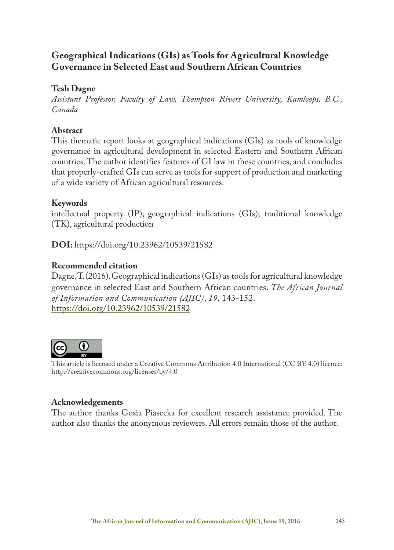# **Geographical Indications (GIs) as Tools for Agricultural Knowledge Governance in Selected East and Southern African Countries**

## **Tesh Dagne**

*Assistant Professor, Faculty of Law, Thompson Rivers University, Kamloops, B.C., Canada*

## **Abstract**

This thematic report looks at geographical indications (GIs) as tools of knowledge governance in agricultural development in selected Eastern and Southern African countries. The author identifies features of GI law in these countries, and concludes that properly-crafted GIs can serve as tools for support of production and marketing of a wide variety of African agricultural resources.

## **Keywords**

intellectual property (IP); geographical indications (GIs); traditional knowledge (TK), agricultural production

**DOI:** https://doi.org/10.23962/10539/21582

## **Recommended citation**

Dagne, T. (2016). Geographical indications (GIs) as tools for agricultural knowledge governance in selected East and Southern African countries**.** *The African Journal of Information and Communication (AJIC)*, *19*, 143-152. https://doi.org/10.23962/10539/21582



This article is licensed under a Creative Commons Attribution 4.0 International (CC BY 4.0) licence: http://creativecommons.org/licenses/by/4.0

### **Acknowledgements**

The author thanks Gosia Piasecka for excellent research assistance provided. The author also thanks the anonymous reviewers. All errors remain those of the author.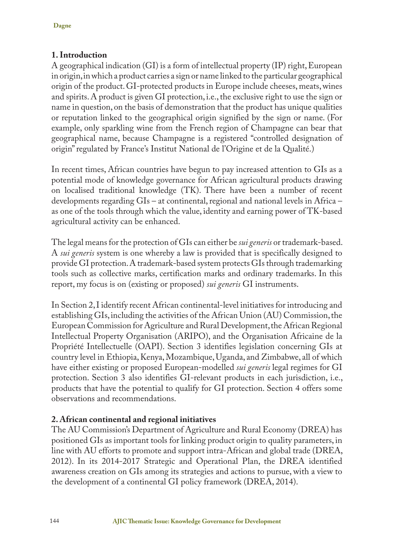## **1. Introduction**

A geographical indication (GI) is a form of intellectual property (IP) right, European in origin, in which a product carries a sign or name linked to the particular geographical origin of the product. GI-protected products in Europe include cheeses, meats, wines and spirits. A product is given GI protection, i.e., the exclusive right to use the sign or name in question, on the basis of demonstration that the product has unique qualities or reputation linked to the geographical origin signified by the sign or name. (For example, only sparkling wine from the French region of Champagne can bear that geographical name, because Champagne is a registered "controlled designation of origin" regulated by France's Institut National de l'Origine et de la Qualité.)

In recent times, African countries have begun to pay increased attention to GIs as a potential mode of knowledge governance for African agricultural products drawing on localised traditional knowledge (TK). There have been a number of recent developments regarding GIs – at continental, regional and national levels in Africa – as one of the tools through which the value, identity and earning power of TK-based agricultural activity can be enhanced.

The legal means for the protection of GIs can either be *sui generis* or trademark-based. A *sui generis* system is one whereby a law is provided that is specifically designed to provide GI protection. A trademark-based system protects GIs through trademarking tools such as collective marks, certification marks and ordinary trademarks. In this report, my focus is on (existing or proposed) *sui generis* GI instruments.

In Section 2, I identify recent African continental-level initiatives for introducing and establishing GIs, including the activities of the African Union (AU) Commission, the European Commission for Agriculture and Rural Development, the African Regional Intellectual Property Organisation (ARIPO), and the Organisation Africaine de la Propriété Intellectuelle (OAPI). Section 3 identifies legislation concerning GIs at country level in Ethiopia, Kenya, Mozambique, Uganda, and Zimbabwe, all of which have either existing or proposed European-modelled *sui generis* legal regimes for GI protection. Section 3 also identifies GI-relevant products in each jurisdiction, i.e., products that have the potential to qualify for GI protection. Section 4 offers some observations and recommendations.

## **2. African continental and regional initiatives**

The AU Commission's Department of Agriculture and Rural Economy (DREA) has positioned GIs as important tools for linking product origin to quality parameters, in line with AU efforts to promote and support intra-African and global trade (DREA, 2012). In its 2014-2017 Strategic and Operational Plan, the DREA identified awareness creation on GIs among its strategies and actions to pursue, with a view to the development of a continental GI policy framework (DREA, 2014).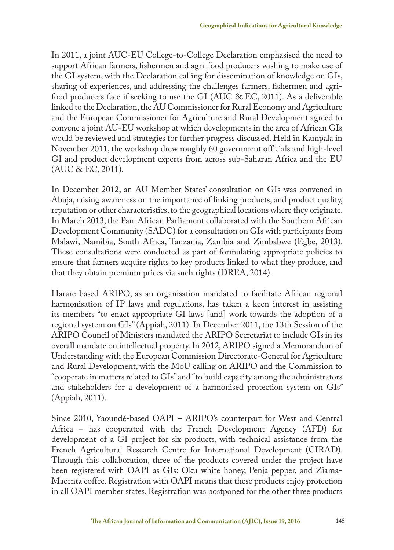In 2011, a joint AUC-EU College-to-College Declaration emphasised the need to support African farmers, fishermen and agri-food producers wishing to make use of the GI system, with the Declaration calling for dissemination of knowledge on GIs, sharing of experiences, and addressing the challenges farmers, fishermen and agrifood producers face if seeking to use the GI (AUC & EC, 2011). As a deliverable linked to the Declaration, the AU Commissioner for Rural Economy and Agriculture and the European Commissioner for Agriculture and Rural Development agreed to convene a joint AU-EU workshop at which developments in the area of African GIs would be reviewed and strategies for further progress discussed. Held in Kampala in November 2011, the workshop drew roughly 60 government officials and high-level GI and product development experts from across sub-Saharan Africa and the EU (AUC & EC, 2011).

In December 2012, an AU Member States' consultation on GIs was convened in Abuja, raising awareness on the importance of linking products, and product quality, reputation or other characteristics, to the geographical locations where they originate. In March 2013, the Pan-African Parliament collaborated with the Southern African Development Community (SADC) for a consultation on GIs with participants from Malawi, Namibia, South Africa, Tanzania, Zambia and Zimbabwe (Egbe, 2013). These consultations were conducted as part of formulating appropriate policies to ensure that farmers acquire rights to key products linked to what they produce, and that they obtain premium prices via such rights (DREA, 2014).

Harare-based ARIPO, as an organisation mandated to facilitate African regional harmonisation of IP laws and regulations, has taken a keen interest in assisting its members "to enact appropriate GI laws [and] work towards the adoption of a regional system on GIs" (Appiah, 2011). In December 2011, the 13th Session of the ARIPO Council of Ministers mandated the ARIPO Secretariat to include GIs in its overall mandate on intellectual property. In 2012, ARIPO signed a Memorandum of Understanding with the European Commission Directorate-General for Agriculture and Rural Development, with the MoU calling on ARIPO and the Commission to "cooperate in matters related to GIs" and "to build capacity among the administrators and stakeholders for a development of a harmonised protection system on GIs" (Appiah, 2011).

Since 2010, Yaoundé-based OAPI – ARIPO's counterpart for West and Central Africa – has cooperated with the French Development Agency (AFD) for development of a GI project for six products, with technical assistance from the French Agricultural Research Centre for International Development (CIRAD). Through this collaboration, three of the products covered under the project have been registered with OAPI as GIs: Oku white honey, Penja pepper, and Ziama-Macenta coffee. Registration with OAPI means that these products enjoy protection in all OAPI member states. Registration was postponed for the other three products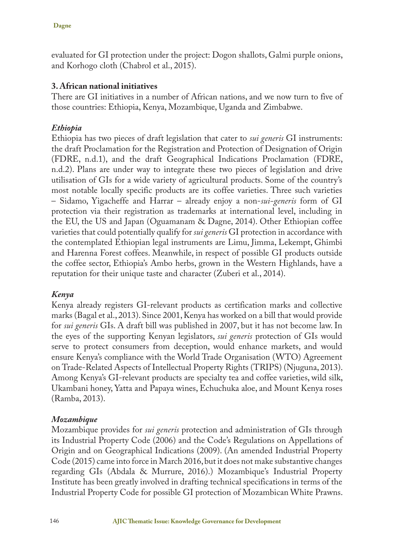evaluated for GI protection under the project: Dogon shallots, Galmi purple onions, and Korhogo cloth (Chabrol et al., 2015).

### **3. African national initiatives**

There are GI initiatives in a number of African nations, and we now turn to five of those countries: Ethiopia, Kenya, Mozambique, Uganda and Zimbabwe.

### *Ethiopia*

Ethiopia has two pieces of draft legislation that cater to *sui generis* GI instruments: the draft Proclamation for the Registration and Protection of Designation of Origin (FDRE, n.d.1), and the draft Geographical Indications Proclamation (FDRE, n.d.2). Plans are under way to integrate these two pieces of legislation and drive utilisation of GIs for a wide variety of agricultural products. Some of the country's most notable locally specific products are its coffee varieties. Three such varieties – Sidamo, Yigacheffe and Harrar – already enjoy a non-*sui-generis* form of GI protection via their registration as trademarks at international level, including in the EU, the US and Japan (Oguamanam & Dagne, 2014). Other Ethiopian coffee varieties that could potentially qualify for *sui generis* GI protection in accordance with the contemplated Ethiopian legal instruments are Limu, Jimma, Lekempt, Ghimbi and Harenna Forest coffees. Meanwhile, in respect of possible GI products outside the coffee sector, Ethiopia's Ambo herbs, grown in the Western Highlands, have a reputation for their unique taste and character (Zuberi et al., 2014).

### *Kenya*

Kenya already registers GI-relevant products as certification marks and collective marks (Bagal et al., 2013). Since 2001, Kenya has worked on a bill that would provide for *sui generis* GIs. A draft bill was published in 2007, but it has not become law. In the eyes of the supporting Kenyan legislators, *sui generis* protection of GIs would serve to protect consumers from deception, would enhance markets, and would ensure Kenya's compliance with the World Trade Organisation (WTO) Agreement on Trade-Related Aspects of Intellectual Property Rights (TRIPS) (Njuguna, 2013). Among Kenya's GI-relevant products are specialty tea and coffee varieties, wild silk, Ukambani honey, Yatta and Papaya wines, Echuchuka aloe, and Mount Kenya roses (Ramba, 2013).

### *Mozambique*

Mozambique provides for *sui generis* protection and administration of GIs through its Industrial Property Code (2006) and the Code's Regulations on Appellations of Origin and on Geographical Indications (2009). (An amended Industrial Property Code (2015) came into force in March 2016, but it does not make substantive changes regarding GIs (Abdala & Murrure, 2016).) Mozambique's Industrial Property Institute has been greatly involved in drafting technical specifications in terms of the Industrial Property Code for possible GI protection of Mozambican White Prawns.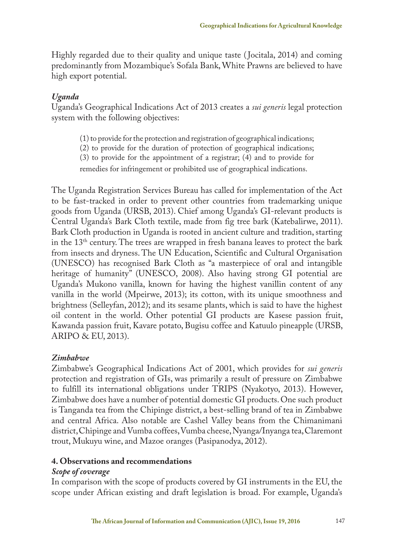Highly regarded due to their quality and unique taste ( Jocitala, 2014) and coming predominantly from Mozambique's Sofala Bank, White Prawns are believed to have high export potential.

#### *Uganda*

Uganda's Geographical Indications Act of 2013 creates a *sui generis* legal protection system with the following objectives:

- (1) to provide for the protection and registration of geographical indications;
- (2) to provide for the duration of protection of geographical indications;
- (3) to provide for the appointment of a registrar; (4) and to provide for
- remedies for infringement or prohibited use of geographical indications.

The Uganda Registration Services Bureau has called for implementation of the Act to be fast-tracked in order to prevent other countries from trademarking unique goods from Uganda (URSB, 2013). Chief among Uganda's GI-relevant products is Central Uganda's Bark Cloth textile, made from fig tree bark (Katebalirwe, 2011). Bark Cloth production in Uganda is rooted in ancient culture and tradition, starting in the 13th century. The trees are wrapped in fresh banana leaves to protect the bark from insects and dryness. The UN Education, Scientific and Cultural Organisation (UNESCO) has recognised Bark Cloth as "a masterpiece of oral and intangible heritage of humanity" (UNESCO, 2008). Also having strong GI potential are Uganda's Mukono vanilla, known for having the highest vanillin content of any vanilla in the world (Mpeirwe, 2013); its cotton, with its unique smoothness and brightness (Selleyfan, 2012); and its sesame plants, which is said to have the highest oil content in the world. Other potential GI products are Kasese passion fruit, Kawanda passion fruit, Kavare potato, Bugisu coffee and Katuulo pineapple (URSB, ARIPO & EU, 2013).

### *Zimbabwe*

Zimbabwe's Geographical Indications Act of 2001, which provides for *sui generis* protection and registration of GIs, was primarily a result of pressure on Zimbabwe to fulfill its international obligations under TRIPS (Nyakotyo, 2013). However, Zimbabwe does have a number of potential domestic GI products. One such product is Tanganda tea from the Chipinge district, a best-selling brand of tea in Zimbabwe and central Africa. Also notable are Cashel Valley beans from the Chimanimani district, Chipinge and Vumba coffees, Vumba cheese, Nyanga/Inyanga tea, Claremont trout, Mukuyu wine, and Mazoe oranges (Pasipanodya, 2012).

### **4. Observations and recommendations**

#### *Scope of coverage*

In comparison with the scope of products covered by GI instruments in the EU, the scope under African existing and draft legislation is broad. For example, Uganda's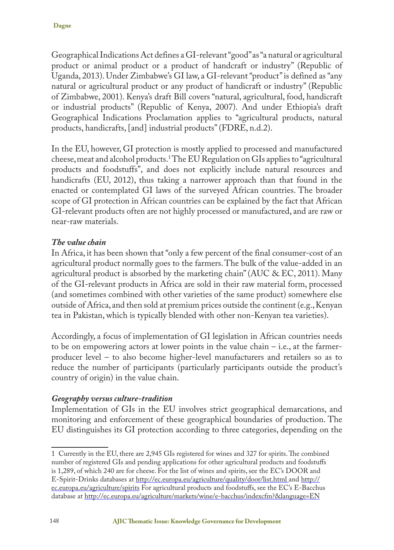Geographical Indications Act defines a GI-relevant "good" as "a natural or agricultural product or animal product or a product of handcraft or industry" (Republic of Uganda, 2013). Under Zimbabwe's GI law, a GI-relevant "product" is defined as "any natural or agricultural product or any product of handicraft or industry" (Republic of Zimbabwe, 2001). Kenya's draft Bill covers "natural, agricultural, food, handicraft or industrial products" (Republic of Kenya, 2007). And under Ethiopia's draft Geographical Indications Proclamation applies to "agricultural products, natural products, handicrafts, [and] industrial products" (FDRE, n.d.2).

In the EU, however, GI protection is mostly applied to processed and manufactured cheese, meat and alcohol products.1 The EU Regulation on GIs applies to "agricultural products and foodstuffs", and does not explicitly include natural resources and handicrafts (EU, 2012), thus taking a narrower approach than that found in the enacted or contemplated GI laws of the surveyed African countries. The broader scope of GI protection in African countries can be explained by the fact that African GI-relevant products often are not highly processed or manufactured, and are raw or near-raw materials.

#### *The value chain*

In Africa, it has been shown that "only a few percent of the final consumer-cost of an agricultural product normally goes to the farmers. The bulk of the value-added in an agricultural product is absorbed by the marketing chain" ( $AUC \& EC$ , 2011). Many of the GI-relevant products in Africa are sold in their raw material form, processed (and sometimes combined with other varieties of the same product) somewhere else outside of Africa, and then sold at premium prices outside the continent (e.g., Kenyan tea in Pakistan, which is typically blended with other non-Kenyan tea varieties).

Accordingly, a focus of implementation of GI legislation in African countries needs to be on empowering actors at lower points in the value chain  $-$  i.e., at the farmerproducer level – to also become higher-level manufacturers and retailers so as to reduce the number of participants (particularly participants outside the product's country of origin) in the value chain.

### *Geography versus culture-tradition*

Implementation of GIs in the EU involves strict geographical demarcations, and monitoring and enforcement of these geographical boundaries of production. The EU distinguishes its GI protection according to three categories, depending on the

<sup>1</sup> Currently in the EU, there are 2,945 GIs registered for wines and 327 for spirits. The combined number of registered GIs and pending applications for other agricultural products and foodstuffs is 1,289, of which 240 are for cheese. For the list of wines and spirits, see the EC's DOOR and E-Spirit-Drinks databases at http://ec.europa.eu/agriculture/quality/door/list.html and http:// ec.europa.eu/agriculture/spirits For agricultural products and foodstuffs, see the EC's E-Bacchus database at http://ec.europa.eu/agriculture/markets/wine/e-bacchus/indexcfm?&language=EN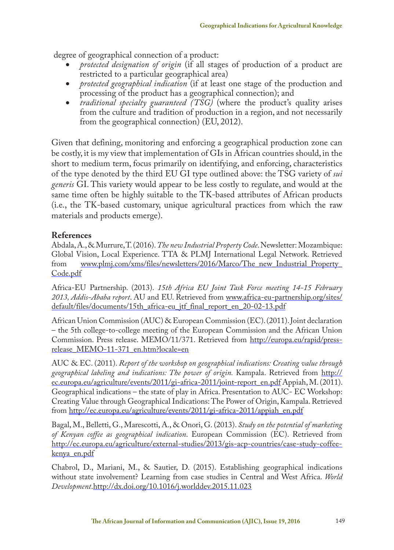degree of geographical connection of a product:

- protected designation of origin (if all stages of production of a product are restricted to a particular geographical area)
- • *protected geographical indication* (if at least one stage of the production and processing of the product has a geographical connection); and
- *traditional specialty guaranteed (TSG)* (where the product's quality arises from the culture and tradition of production in a region, and not necessarily from the geographical connection) (EU, 2012).

Given that defining, monitoring and enforcing a geographical production zone can be costly, it is my view that implementation of GIs in African countries should, in the short to medium term, focus primarily on identifying, and enforcing, characteristics of the type denoted by the third EU GI type outlined above: the TSG variety of *sui generis* GI. This variety would appear to be less costly to regulate, and would at the same time often be highly suitable to the TK-based attributes of African products (i.e., the TK-based customary, unique agricultural practices from which the raw materials and products emerge).

#### **References**

Abdala, A., & Murrure, T. (2016). *The new Industrial Property Code*. Newsletter: Mozambique: Global Vision, Local Experience. TTA & PLMJ International Legal Network. Retrieved www.plmj.com/xms/files/newsletters/2016/Marco/The\_new\_Industrial\_Property\_ Code.pdf

Africa-EU Partnership. (2013). *15th Africa EU Joint Task Force meeting 14-15 February 2013, Addis-Ababa report*. AU and EU. Retrieved from www.africa-eu-partnership.org/sites/ default/files/documents/15th\_africa-eu\_jtf\_final\_report\_en\_20-02-13.pdf

African Union Commission (AUC) & European Commission (EC). (2011). Joint declaration – the 5th college-to-college meeting of the European Commission and the African Union Commission. Press release. MEMO/11/371. Retrieved from http://europa.eu/rapid/pressrelease\_MEMO-11-371\_en.htm?locale=en

AUC & EC. (2011). *Report of the workshop on geographical indications: Creating value through geographical labeling and indications: The power of origin.* Kampala. Retrieved from http:// ec.europa.eu/agriculture/events/2011/gi-africa-2011/joint-report\_en.pdf Appiah, M. (2011). Geographical indications – the state of play in Africa. Presentation to AUC- EC Workshop: Creating Value through Geographical Indications: The Power of Origin, Kampala. Retrieved from http://ec.europa.eu/agriculture/events/2011/gi-africa-2011/appiah\_en.pdf

Bagal, M., Belletti, G., Marescotti, A., & Onori, G. (2013). *Study on the potential of marketing of Kenyan coffee as geographical indication*. European Commission (EC). Retrieved from http://ec.europa.eu/agriculture/external-studies/2013/gis-acp-countries/case-study-coffeekenya\_en.pdf

Chabrol, D., Mariani, M., & Sautier, D. (2015). Establishing geographical indications without state involvement? Learning from case studies in Central and West Africa. *World Development*.http://dx.doi.org/10.1016/j.worlddev.2015.11.023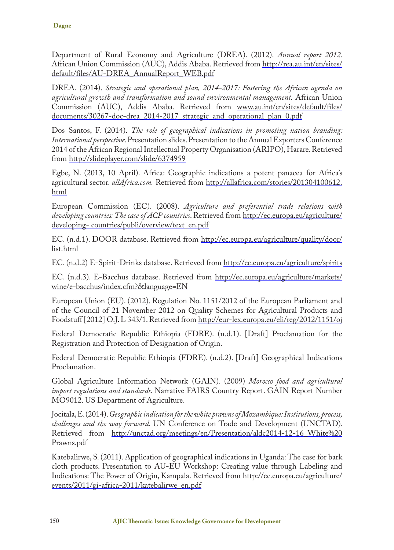Department of Rural Economy and Agriculture (DREA). (2012). *Annual report 2012*. African Union Commission (AUC), Addis Ababa. Retrieved from http://rea.au.int/en/sites/ default/files/AU-DREA\_AnnualReport\_WEB.pdf

DREA. (2014). *Strategic and operational plan, 2014-2017: Fostering the African agenda on agricultural growth and transformation and sound environmental management.* African Union Commission (AUC), Addis Ababa. Retrieved from www.au.int/en/sites/default/files/ documents/30267-doc-drea\_2014-2017\_strategic\_and\_operational\_plan\_0.pdf

Dos Santos, F. (2014). *The role of geographical indications in promoting nation branding: International perspective*. Presentation slides. Presentation to the Annual Exporters Conference 2014 of the African Regional Intellectual Property Organisation (ARIPO), Harare. Retrieved from http://slideplayer.com/slide/6374959

Egbe, N. (2013, 10 April). Africa: Geographic indications a potent panacea for Africa's agricultural sector. *allAfrica.com.* Retrieved from http://allafrica.com/stories/201304100612. html

European Commission (EC). (2008). *Agriculture and preferential trade relations with developing countries: The case of ACP countries*. Retrieved from http://ec.europa.eu/agriculture/ developing- countries/publi/overview/text\_en.pdf

EC. (n.d.1). DOOR database. Retrieved from http://ec.europa.eu/agriculture/quality/door/ list.html

EC. (n.d.2) E-Spirit-Drinks database. Retrieved from http://ec.europa.eu/agriculture/spirits

EC. (n.d.3). E-Bacchus database. Retrieved from http://ec.europa.eu/agriculture/markets/ wine/e-bacchus/index.cfm?&language=EN

European Union (EU). (2012). Regulation No. 1151/2012 of the European Parliament and of the Council of 21 November 2012 on Quality Schemes for Agricultural Products and Foodstuff [2012] O.J. L 343/1. Retrieved from http://eur-lex.europa.eu/eli/reg/2012/1151/oj

Federal Democratic Republic Ethiopia (FDRE). (n.d.1). [Draft] Proclamation for the Registration and Protection of Designation of Origin.

Federal Democratic Republic Ethiopia (FDRE). (n.d.2). [Draft] Geographical Indications Proclamation.

Global Agriculture Information Network (GAIN). (2009) *Morocco food and agricultural import regulations and standards.* Narrative FAIRS Country Report. GAIN Report Number MO9012. US Department of Agriculture.

Jocitala, E. (2014). *Geographic indication for the white prawns of Mozambique: Institutions, process, challenges and the way forward*. UN Conference on Trade and Development (UNCTAD). Retrieved from http://unctad.org/meetings/en/Presentation/aldc2014-12-16 White%20 Prawns.pdf

Katebalirwe, S. (2011). Application of geographical indications in Uganda: The case for bark cloth products. Presentation to AU-EU Workshop: Creating value through Labeling and Indications: The Power of Origin, Kampala. Retrieved from http://ec.europa.eu/agriculture/ events/2011/gi-africa-2011/katebalirwe\_en.pdf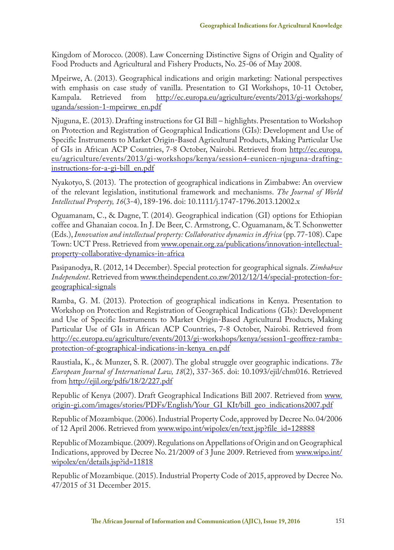Kingdom of Morocco. (2008). Law Concerning Distinctive Signs of Origin and Quality of Food Products and Agricultural and Fishery Products, No. 25-06 of May 2008.

Mpeirwe, A. (2013). Geographical indications and origin marketing: National perspectives with emphasis on case study of vanilla. Presentation to GI Workshops, 10-11 October, Kampala. Retrieved from http://ec.europa.eu/agriculture/events/2013/gi-workshops/ uganda/session-1-mpeirwe\_en.pdf

Njuguna, E. (2013). Drafting instructions for GI Bill – highlights. Presentation to Workshop on Protection and Registration of Geographical Indications (GIs): Development and Use of Specific Instruments to Market Origin-Based Agricultural Products, Making Particular Use of GIs in African ACP Countries, 7-8 October, Nairobi. Retrieved from http://ec.europa. eu/agriculture/events/2013/gi-workshops/kenya/session4-eunicen-njuguna-draftinginstructions-for-a-gi-bill\_en.pdf

Nyakotyo, S. (2013). The protection of geographical indications in Zimbabwe: An overview of the relevant legislation, institutional framework and mechanisms. *The Journal of World Intellectual Property, 16*(3-4), 189-196. doi: 10.1111/j.1747-1796.2013.12002.x

Oguamanam, C., & Dagne, T. (2014). Geographical indication (GI) options for Ethiopian coffee and Ghanaian cocoa. In J. De Beer, C. Armstrong, C. Oguamanam, & T. Schonwetter (Eds.), *Innovation and intellectual property: Collaborative dynamics in Africa* (pp. 77-108). Cape Town: UCT Press. Retrieved from www.openair.org.za/publications/innovation-intellectualproperty-collaborative-dynamics-in-africa

Pasipanodya, R. (2012, 14 December). Special protection for geographical signals. *Zimbabwe Independent*. Retrieved from www.theindependent.co.zw/2012/12/14/special-protection-forgeographical-signals

Ramba, G. M. (2013). Protection of geographical indications in Kenya. Presentation to Workshop on Protection and Registration of Geographical Indications (GIs): Development and Use of Specific Instruments to Market Origin-Based Agricultural Products, Making Particular Use of GIs in African ACP Countries, 7-8 October, Nairobi. Retrieved from http://ec.europa.eu/agriculture/events/2013/gi-workshops/kenya/session1-geoffrez-rambaprotection-of-geographical-indications-in-kenya\_en.pdf

Raustiala, K., & Munzer, S. R. (2007). The global struggle over geographic indications. *The European Journal of International Law, 18*(2), 337-365. doi: 10.1093/ejil/chm016. Retrieved from http://ejil.org/pdfs/18/2/227.pdf

Republic of Kenya (2007). Draft Geographical Indications Bill 2007. Retrieved from www. origin-gi.com/images/stories/PDFs/English/Your\_GI\_KIt/bill\_geo\_indications2007.pdf

Republic of Mozambique. (2006). Industrial Property Code, approved by Decree No. 04/2006 of 12 April 2006. Retrieved from www.wipo.int/wipolex/en/text.jsp?file\_id=128888

Republic of Mozambique. (2009). Regulations on Appellations of Origin and on Geographical Indications, approved by Decree No. 21/2009 of 3 June 2009. Retrieved from www.wipo.int/ wipolex/en/details.jsp?id=11818

Republic of Mozambique. (2015). Industrial Property Code of 2015, approved by Decree No. 47/2015 of 31 December 2015.